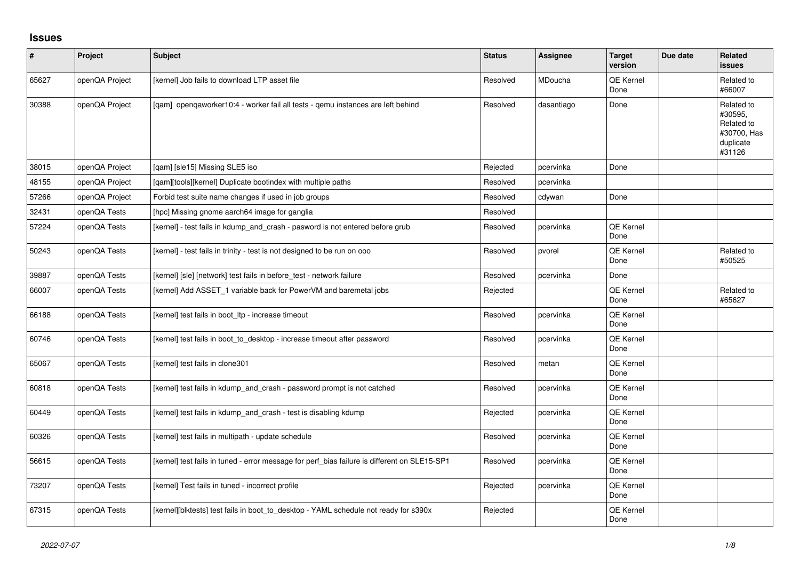## **Issues**

| $\sharp$ | Project        | Subject                                                                                      | <b>Status</b> | <b>Assignee</b> | <b>Target</b><br>version | Due date | <b>Related</b><br>issues                                                  |
|----------|----------------|----------------------------------------------------------------------------------------------|---------------|-----------------|--------------------------|----------|---------------------------------------------------------------------------|
| 65627    | openQA Project | [kernel] Job fails to download LTP asset file                                                | Resolved      | MDoucha         | QE Kernel<br>Done        |          | Related to<br>#66007                                                      |
| 30388    | openQA Project | [gam] opengaworker10:4 - worker fail all tests - gemu instances are left behind              | Resolved      | dasantiago      | Done                     |          | Related to<br>#30595,<br>Related to<br>#30700, Has<br>duplicate<br>#31126 |
| 38015    | openQA Project | [qam] [sle15] Missing SLE5 iso                                                               | Rejected      | pcervinka       | Done                     |          |                                                                           |
| 48155    | openQA Project | [qam][tools][kernel] Duplicate bootindex with multiple paths                                 | Resolved      | pcervinka       |                          |          |                                                                           |
| 57266    | openQA Project | Forbid test suite name changes if used in job groups                                         | Resolved      | cdywan          | Done                     |          |                                                                           |
| 32431    | openQA Tests   | [hpc] Missing gnome aarch64 image for ganglia                                                | Resolved      |                 |                          |          |                                                                           |
| 57224    | openQA Tests   | [kernel] - test fails in kdump_and_crash - pasword is not entered before grub                | Resolved      | pcervinka       | QE Kernel<br>Done        |          |                                                                           |
| 50243    | openQA Tests   | [kernel] - test fails in trinity - test is not designed to be run on ooo                     | Resolved      | pvorel          | QE Kernel<br>Done        |          | Related to<br>#50525                                                      |
| 39887    | openQA Tests   | [kernel] [sle] [network] test fails in before_test - network failure                         | Resolved      | pcervinka       | Done                     |          |                                                                           |
| 66007    | openQA Tests   | [kernel] Add ASSET_1 variable back for PowerVM and baremetal jobs                            | Rejected      |                 | QE Kernel<br>Done        |          | Related to<br>#65627                                                      |
| 66188    | openQA Tests   | [kernel] test fails in boot_ltp - increase timeout                                           | Resolved      | pcervinka       | QE Kernel<br>Done        |          |                                                                           |
| 60746    | openQA Tests   | [kernel] test fails in boot to desktop - increase timeout after password                     | Resolved      | pcervinka       | QE Kernel<br>Done        |          |                                                                           |
| 65067    | openQA Tests   | [kernel] test fails in clone301                                                              | Resolved      | metan           | QE Kernel<br>Done        |          |                                                                           |
| 60818    | openQA Tests   | [kernel] test fails in kdump and crash - password prompt is not catched                      | Resolved      | pcervinka       | QE Kernel<br>Done        |          |                                                                           |
| 60449    | openQA Tests   | [kernel] test fails in kdump and crash - test is disabling kdump                             | Rejected      | pcervinka       | QE Kernel<br>Done        |          |                                                                           |
| 60326    | openQA Tests   | [kernel] test fails in multipath - update schedule                                           | Resolved      | pcervinka       | QE Kernel<br>Done        |          |                                                                           |
| 56615    | openQA Tests   | [kernel] test fails in tuned - error message for perf_bias failure is different on SLE15-SP1 | Resolved      | pcervinka       | QE Kernel<br>Done        |          |                                                                           |
| 73207    | openQA Tests   | [kernel] Test fails in tuned - incorrect profile                                             | Rejected      | pcervinka       | QE Kernel<br>Done        |          |                                                                           |
| 67315    | openQA Tests   | [kernel][blktests] test fails in boot_to_desktop - YAML schedule not ready for s390x         | Rejected      |                 | QE Kernel<br>Done        |          |                                                                           |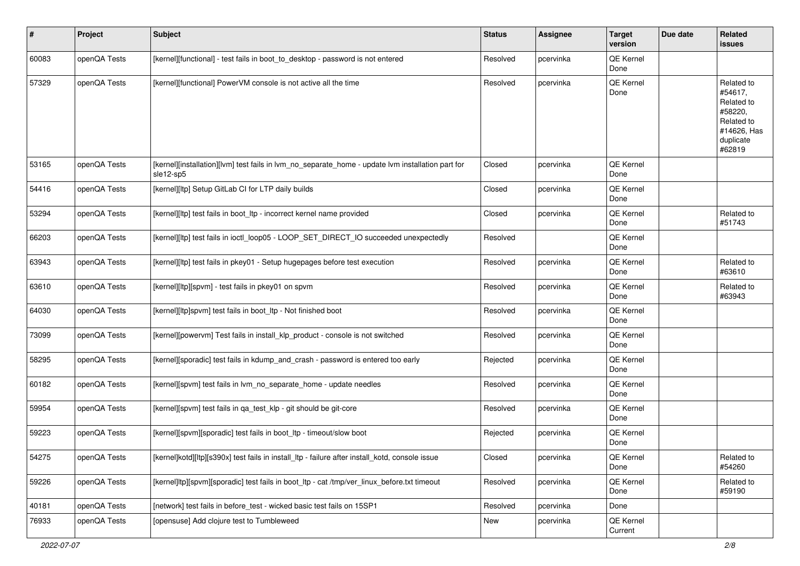| $\sharp$ | Project      | <b>Subject</b>                                                                                                 | <b>Status</b> | Assignee  | <b>Target</b><br>version | Due date | Related<br>issues                                                                                  |
|----------|--------------|----------------------------------------------------------------------------------------------------------------|---------------|-----------|--------------------------|----------|----------------------------------------------------------------------------------------------------|
| 60083    | openQA Tests | [kernel][functional] - test fails in boot_to_desktop - password is not entered                                 | Resolved      | pcervinka | QE Kernel<br>Done        |          |                                                                                                    |
| 57329    | openQA Tests | [kernel][functional] PowerVM console is not active all the time                                                | Resolved      | pcervinka | QE Kernel<br>Done        |          | Related to<br>#54617.<br>Related to<br>#58220,<br>Related to<br>#14626, Has<br>duplicate<br>#62819 |
| 53165    | openQA Tests | [kernel][installation][lvm] test fails in lvm_no_separate_home - update lvm installation part for<br>sle12-sp5 | Closed        | pcervinka | QE Kernel<br>Done        |          |                                                                                                    |
| 54416    | openQA Tests | [kernel][ltp] Setup GitLab CI for LTP daily builds                                                             | Closed        | pcervinka | QE Kernel<br>Done        |          |                                                                                                    |
| 53294    | openQA Tests | [kernel][ltp] test fails in boot ltp - incorrect kernel name provided                                          | Closed        | pcervinka | QE Kernel<br>Done        |          | Related to<br>#51743                                                                               |
| 66203    | openQA Tests | [kernel][ltp] test fails in ioctl_loop05 - LOOP_SET_DIRECT_IO succeeded unexpectedly                           | Resolved      |           | QE Kernel<br>Done        |          |                                                                                                    |
| 63943    | openQA Tests | [kernel][ltp] test fails in pkey01 - Setup hugepages before test execution                                     | Resolved      | pcervinka | QE Kernel<br>Done        |          | Related to<br>#63610                                                                               |
| 63610    | openQA Tests | [kernel][ltp][spvm] - test fails in pkey01 on spvm                                                             | Resolved      | pcervinka | QE Kernel<br>Done        |          | Related to<br>#63943                                                                               |
| 64030    | openQA Tests | [kernel][ltp]spvm] test fails in boot_ltp - Not finished boot                                                  | Resolved      | pcervinka | QE Kernel<br>Done        |          |                                                                                                    |
| 73099    | openQA Tests | [kernel][powervm] Test fails in install_klp_product - console is not switched                                  | Resolved      | pcervinka | QE Kernel<br>Done        |          |                                                                                                    |
| 58295    | openQA Tests | [kernel][sporadic] test fails in kdump_and_crash - password is entered too early                               | Rejected      | pcervinka | QE Kernel<br>Done        |          |                                                                                                    |
| 60182    | openQA Tests | [kernel][spvm] test fails in lvm_no_separate_home - update needles                                             | Resolved      | pcervinka | QE Kernel<br>Done        |          |                                                                                                    |
| 59954    | openQA Tests | [kernel][spvm] test fails in qa_test_klp - git should be git-core                                              | Resolved      | pcervinka | QE Kernel<br>Done        |          |                                                                                                    |
| 59223    | openQA Tests | [kernel][spvm][sporadic] test fails in boot_ltp - timeout/slow boot                                            | Rejected      | pcervinka | QE Kernel<br>Done        |          |                                                                                                    |
| 54275    | openQA Tests | [kernel]kotd][ltp][s390x] test fails in install_ltp - failure after install_kotd, console issue                | Closed        | pcervinka | QE Kernel<br>Done        |          | Related to<br>#54260                                                                               |
| 59226    | openQA Tests | [kernel]ltp][spvm][sporadic] test fails in boot_ltp - cat /tmp/ver_linux_before.txt timeout                    | Resolved      | pcervinka | QE Kernel<br>Done        |          | Related to<br>#59190                                                                               |
| 40181    | openQA Tests | [network] test fails in before_test - wicked basic test fails on 15SP1                                         | Resolved      | pcervinka | Done                     |          |                                                                                                    |
| 76933    | openQA Tests | [opensuse] Add clojure test to Tumbleweed                                                                      | New           | pcervinka | QE Kernel<br>Current     |          |                                                                                                    |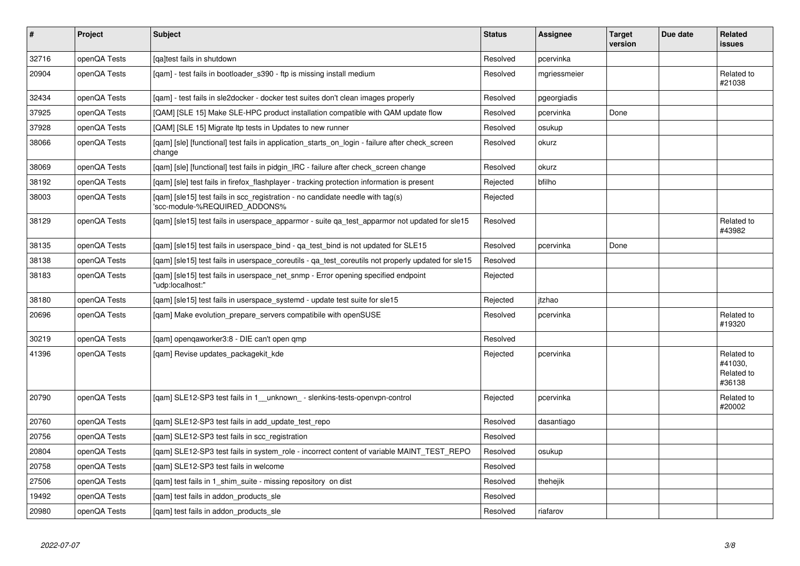| $\vert$ # | Project      | <b>Subject</b>                                                                                                  | <b>Status</b> | <b>Assignee</b> | <b>Target</b><br>version | Due date | <b>Related</b><br>issues                      |
|-----------|--------------|-----------------------------------------------------------------------------------------------------------------|---------------|-----------------|--------------------------|----------|-----------------------------------------------|
| 32716     | openQA Tests | [qa]test fails in shutdown                                                                                      | Resolved      | pcervinka       |                          |          |                                               |
| 20904     | openQA Tests | [qam] - test fails in bootloader_s390 - ftp is missing install medium                                           | Resolved      | mgriessmeier    |                          |          | Related to<br>#21038                          |
| 32434     | openQA Tests | [gam] - test fails in sle2docker - docker test suites don't clean images properly                               | Resolved      | pgeorgiadis     |                          |          |                                               |
| 37925     | openQA Tests | [QAM] [SLE 15] Make SLE-HPC product installation compatible with QAM update flow                                | Resolved      | pcervinka       | Done                     |          |                                               |
| 37928     | openQA Tests | [QAM] [SLE 15] Migrate Itp tests in Updates to new runner                                                       | Resolved      | osukup          |                          |          |                                               |
| 38066     | openQA Tests | [gam] [sle] [functional] test fails in application starts on login - failure after check screen<br>change       | Resolved      | okurz           |                          |          |                                               |
| 38069     | openQA Tests | [gam] [sle] [functional] test fails in pidgin IRC - failure after check screen change                           | Resolved      | okurz           |                          |          |                                               |
| 38192     | openQA Tests | [qam] [sle] test fails in firefox_flashplayer - tracking protection information is present                      | Rejected      | bfilho          |                          |          |                                               |
| 38003     | openQA Tests | [gam] [sle15] test fails in scc registration - no candidate needle with tag(s)<br>'scc-module-%REQUIRED_ADDONS% | Rejected      |                 |                          |          |                                               |
| 38129     | openQA Tests | [qam] [sle15] test fails in userspace_apparmor - suite qa_test_apparmor not updated for sle15                   | Resolved      |                 |                          |          | Related to<br>#43982                          |
| 38135     | openQA Tests | [gam] [sle15] test fails in userspace bind - ga test bind is not updated for SLE15                              | Resolved      | pcervinka       | Done                     |          |                                               |
| 38138     | openQA Tests | [gam] [sle15] test fails in userspace coreutils - ga test coreutils not properly updated for sle15              | Resolved      |                 |                          |          |                                               |
| 38183     | openQA Tests | [qam] [sle15] test fails in userspace_net_snmp - Error opening specified endpoint<br>"udp:localhost:"           | Rejected      |                 |                          |          |                                               |
| 38180     | openQA Tests | [qam] [sle15] test fails in userspace_systemd - update test suite for sle15                                     | Rejected      | itzhao          |                          |          |                                               |
| 20696     | openQA Tests | [gam] Make evolution prepare servers compatibile with openSUSE                                                  | Resolved      | pcervinka       |                          |          | Related to<br>#19320                          |
| 30219     | openQA Tests | [gam] opengaworker3:8 - DIE can't open gmp                                                                      | Resolved      |                 |                          |          |                                               |
| 41396     | openQA Tests | [qam] Revise updates_packagekit_kde                                                                             | Rejected      | pcervinka       |                          |          | Related to<br>#41030.<br>Related to<br>#36138 |
| 20790     | openQA Tests | [gam] SLE12-SP3 test fails in 1 unknown - slenkins-tests-openvpn-control                                        | Rejected      | pcervinka       |                          |          | Related to<br>#20002                          |
| 20760     | openQA Tests | [qam] SLE12-SP3 test fails in add_update_test_repo                                                              | Resolved      | dasantiago      |                          |          |                                               |
| 20756     | openQA Tests | [qam] SLE12-SP3 test fails in scc_registration                                                                  | Resolved      |                 |                          |          |                                               |
| 20804     | openQA Tests | [gam] SLE12-SP3 test fails in system_role - incorrect content of variable MAINT_TEST_REPO                       | Resolved      | osukup          |                          |          |                                               |
| 20758     | openQA Tests | [gam] SLE12-SP3 test fails in welcome                                                                           | Resolved      |                 |                          |          |                                               |
| 27506     | openQA Tests | [gam] test fails in 1 shim suite - missing repository on dist                                                   | Resolved      | thehejik        |                          |          |                                               |
| 19492     | openQA Tests | [qam] test fails in addon_products_sle                                                                          | Resolved      |                 |                          |          |                                               |
| 20980     | openQA Tests | [gam] test fails in addon products sle                                                                          | Resolved      | riafarov        |                          |          |                                               |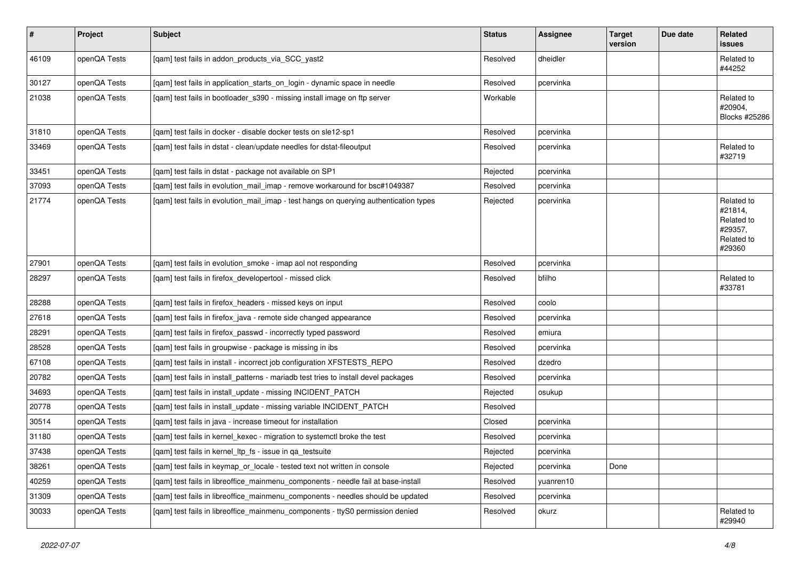| $\sharp$ | Project      | <b>Subject</b>                                                                        | <b>Status</b> | Assignee  | <b>Target</b><br>version | Due date | <b>Related</b><br>issues                                               |
|----------|--------------|---------------------------------------------------------------------------------------|---------------|-----------|--------------------------|----------|------------------------------------------------------------------------|
| 46109    | openQA Tests | [qam] test fails in addon_products_via_SCC_yast2                                      | Resolved      | dheidler  |                          |          | Related to<br>#44252                                                   |
| 30127    | openQA Tests | [qam] test fails in application_starts_on_login - dynamic space in needle             | Resolved      | pcervinka |                          |          |                                                                        |
| 21038    | openQA Tests | [qam] test fails in bootloader_s390 - missing install image on ftp server             | Workable      |           |                          |          | Related to<br>#20904,<br>Blocks #25286                                 |
| 31810    | openQA Tests | [gam] test fails in docker - disable docker tests on sle12-sp1                        | Resolved      | pcervinka |                          |          |                                                                        |
| 33469    | openQA Tests | [qam] test fails in dstat - clean/update needles for dstat-fileoutput                 | Resolved      | pcervinka |                          |          | Related to<br>#32719                                                   |
| 33451    | openQA Tests | [qam] test fails in dstat - package not available on SP1                              | Rejected      | pcervinka |                          |          |                                                                        |
| 37093    | openQA Tests | [qam] test fails in evolution_mail_imap - remove workaround for bsc#1049387           | Resolved      | pcervinka |                          |          |                                                                        |
| 21774    | openQA Tests | [qam] test fails in evolution_mail_imap - test hangs on querying authentication types | Rejected      | pcervinka |                          |          | Related to<br>#21814,<br>Related to<br>#29357,<br>Related to<br>#29360 |
| 27901    | openQA Tests | [qam] test fails in evolution_smoke - imap aol not responding                         | Resolved      | pcervinka |                          |          |                                                                        |
| 28297    | openQA Tests | [qam] test fails in firefox_developertool - missed click                              | Resolved      | bfilho    |                          |          | Related to<br>#33781                                                   |
| 28288    | openQA Tests | [gam] test fails in firefox headers - missed keys on input                            | Resolved      | coolo     |                          |          |                                                                        |
| 27618    | openQA Tests | [gam] test fails in firefox java - remote side changed appearance                     | Resolved      | pcervinka |                          |          |                                                                        |
| 28291    | openQA Tests | [qam] test fails in firefox_passwd - incorrectly typed password                       | Resolved      | emiura    |                          |          |                                                                        |
| 28528    | openQA Tests | [qam] test fails in groupwise - package is missing in ibs                             | Resolved      | pcervinka |                          |          |                                                                        |
| 67108    | openQA Tests | [qam] test fails in install - incorrect job configuration XFSTESTS_REPO               | Resolved      | dzedro    |                          |          |                                                                        |
| 20782    | openQA Tests | [qam] test fails in install_patterns - mariadb test tries to install devel packages   | Resolved      | pcervinka |                          |          |                                                                        |
| 34693    | openQA Tests | [qam] test fails in install_update - missing INCIDENT_PATCH                           | Rejected      | osukup    |                          |          |                                                                        |
| 20778    | openQA Tests | [qam] test fails in install_update - missing variable INCIDENT_PATCH                  | Resolved      |           |                          |          |                                                                        |
| 30514    | openQA Tests | [qam] test fails in java - increase timeout for installation                          | Closed        | pcervinka |                          |          |                                                                        |
| 31180    | openQA Tests | [qam] test fails in kernel_kexec - migration to systemctl broke the test              | Resolved      | pcervinka |                          |          |                                                                        |
| 37438    | openQA Tests | [qam] test fails in kernel_ltp_fs - issue in qa_testsuite                             | Rejected      | pcervinka |                          |          |                                                                        |
| 38261    | openQA Tests | [gam] test fails in keymap or locale - tested text not written in console             | Rejected      | pcervinka | Done                     |          |                                                                        |
| 40259    | openQA Tests | [qam] test fails in libreoffice_mainmenu_components - needle fail at base-install     | Resolved      | yuanren10 |                          |          |                                                                        |
| 31309    | openQA Tests | [qam] test fails in libreoffice_mainmenu_components - needles should be updated       | Resolved      | pcervinka |                          |          |                                                                        |
| 30033    | openQA Tests | [gam] test fails in libreoffice mainmenu components - ttyS0 permission denied         | Resolved      | okurz     |                          |          | Related to<br>#29940                                                   |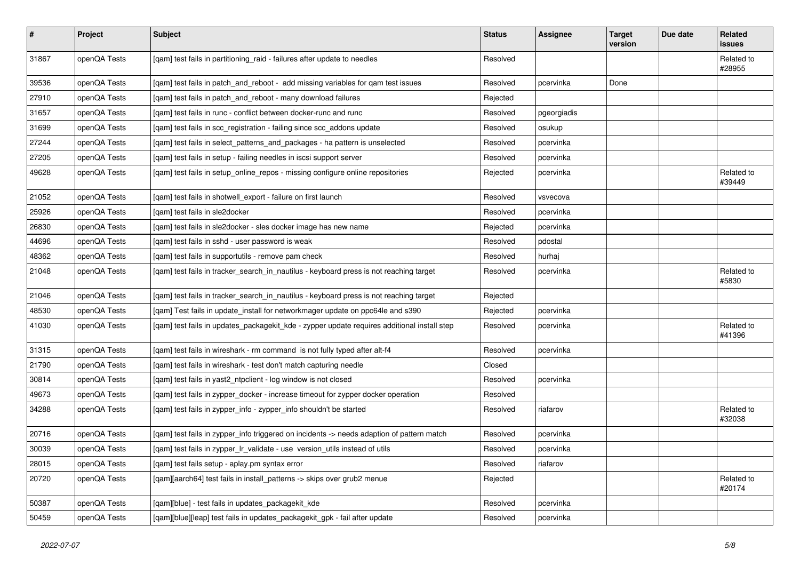| $\sharp$ | <b>Project</b> | Subject                                                                                     | <b>Status</b> | Assignee    | <b>Target</b><br>version | Due date | Related<br>issues    |
|----------|----------------|---------------------------------------------------------------------------------------------|---------------|-------------|--------------------------|----------|----------------------|
| 31867    | openQA Tests   | [qam] test fails in partitioning_raid - failures after update to needles                    | Resolved      |             |                          |          | Related to<br>#28955 |
| 39536    | openQA Tests   | [qam] test fails in patch_and_reboot - add missing variables for qam test issues            | Resolved      | pcervinka   | Done                     |          |                      |
| 27910    | openQA Tests   | [qam] test fails in patch_and_reboot - many download failures                               | Rejected      |             |                          |          |                      |
| 31657    | openQA Tests   | [gam] test fails in runc - conflict between docker-runc and runc                            | Resolved      | pgeorgiadis |                          |          |                      |
| 31699    | openQA Tests   | [qam] test fails in scc_registration - failing since scc_addons update                      | Resolved      | osukup      |                          |          |                      |
| 27244    | openQA Tests   | [qam] test fails in select_patterns_and_packages - ha pattern is unselected                 | Resolved      | pcervinka   |                          |          |                      |
| 27205    | openQA Tests   | [qam] test fails in setup - failing needles in iscsi support server                         | Resolved      | pcervinka   |                          |          |                      |
| 49628    | openQA Tests   | [qam] test fails in setup_online_repos - missing configure online repositories              | Rejected      | pcervinka   |                          |          | Related to<br>#39449 |
| 21052    | openQA Tests   | [qam] test fails in shotwell_export - failure on first launch                               | Resolved      | vsvecova    |                          |          |                      |
| 25926    | openQA Tests   | [qam] test fails in sle2docker                                                              | Resolved      | pcervinka   |                          |          |                      |
| 26830    | openQA Tests   | [qam] test fails in sle2docker - sles docker image has new name                             | Rejected      | pcervinka   |                          |          |                      |
| 44696    | openQA Tests   | [qam] test fails in sshd - user password is weak                                            | Resolved      | pdostal     |                          |          |                      |
| 48362    | openQA Tests   | [qam] test fails in supportutils - remove pam check                                         | Resolved      | hurhaj      |                          |          |                      |
| 21048    | openQA Tests   | [qam] test fails in tracker_search_in_nautilus - keyboard press is not reaching target      | Resolved      | pcervinka   |                          |          | Related to<br>#5830  |
| 21046    | openQA Tests   | [qam] test fails in tracker_search_in_nautilus - keyboard press is not reaching target      | Rejected      |             |                          |          |                      |
| 48530    | openQA Tests   | [qam] Test fails in update_install for networkmager update on ppc64le and s390              | Rejected      | pcervinka   |                          |          |                      |
| 41030    | openQA Tests   | [qam] test fails in updates_packagekit_kde - zypper update requires additional install step | Resolved      | pcervinka   |                          |          | Related to<br>#41396 |
| 31315    | openQA Tests   | [qam] test fails in wireshark - rm command is not fully typed after alt-f4                  | Resolved      | pcervinka   |                          |          |                      |
| 21790    | openQA Tests   | [gam] test fails in wireshark - test don't match capturing needle                           | Closed        |             |                          |          |                      |
| 30814    | openQA Tests   | [qam] test fails in yast2_ntpclient - log window is not closed                              | Resolved      | pcervinka   |                          |          |                      |
| 49673    | openQA Tests   | [qam] test fails in zypper_docker - increase timeout for zypper docker operation            | Resolved      |             |                          |          |                      |
| 34288    | openQA Tests   | [qam] test fails in zypper_info - zypper_info shouldn't be started                          | Resolved      | riafarov    |                          |          | Related to<br>#32038 |
| 20716    | openQA Tests   | [qam] test fails in zypper_info triggered on incidents -> needs adaption of pattern match   | Resolved      | pcervinka   |                          |          |                      |
| 30039    | openQA Tests   | [gam] test fails in zypper Ir validate - use version utils instead of utils                 | Resolved      | pcervinka   |                          |          |                      |
| 28015    | openQA Tests   | [qam] test fails setup - aplay.pm syntax error                                              | Resolved      | riafarov    |                          |          |                      |
| 20720    | openQA Tests   | [qam][aarch64] test fails in install_patterns -> skips over grub2 menue                     | Rejected      |             |                          |          | Related to<br>#20174 |
| 50387    | openQA Tests   | [qam][blue] - test fails in updates_packagekit_kde                                          | Resolved      | pcervinka   |                          |          |                      |
| 50459    | openQA Tests   | [qam][blue][leap] test fails in updates_packagekit_gpk - fail after update                  | Resolved      | pcervinka   |                          |          |                      |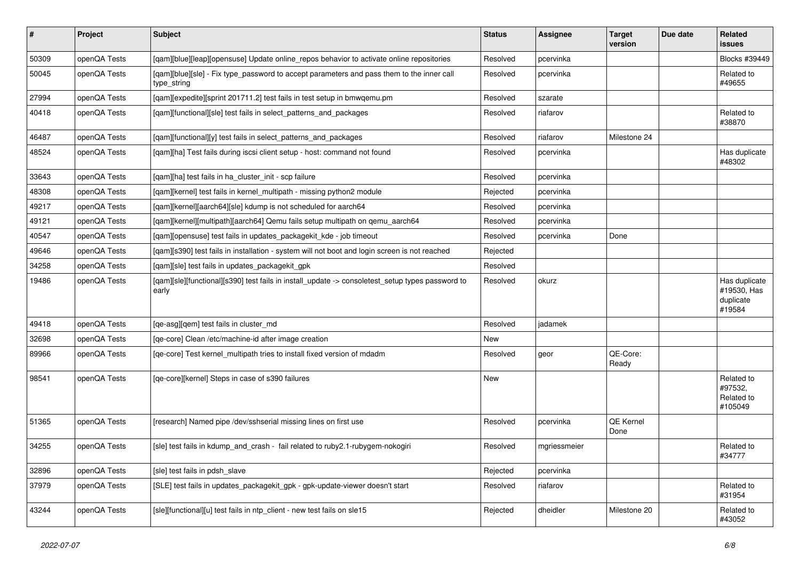| $\vert$ # | Project      | <b>Subject</b>                                                                                            | <b>Status</b> | <b>Assignee</b> | <b>Target</b><br>version | Due date | Related<br><b>issues</b>                            |
|-----------|--------------|-----------------------------------------------------------------------------------------------------------|---------------|-----------------|--------------------------|----------|-----------------------------------------------------|
| 50309     | openQA Tests | [gam][blue][leap][opensuse] Update online repos behavior to activate online repositories                  | Resolved      | pcervinka       |                          |          | Blocks #39449                                       |
| 50045     | openQA Tests | [gam][blue][sle] - Fix type password to accept parameters and pass them to the inner call<br>type_string  | Resolved      | pcervinka       |                          |          | Related to<br>#49655                                |
| 27994     | openQA Tests | [gam][expedite][sprint 201711.2] test fails in test setup in bmwgemu.pm                                   | Resolved      | szarate         |                          |          |                                                     |
| 40418     | openQA Tests | [gam][functional][sle] test fails in select patterns and packages                                         | Resolved      | riafarov        |                          |          | Related to<br>#38870                                |
| 46487     | openQA Tests | [qam][functional][y] test fails in select_patterns_and_packages                                           | Resolved      | riafarov        | Milestone 24             |          |                                                     |
| 48524     | openQA Tests | [gam][ha] Test fails during iscsi client setup - host: command not found                                  | Resolved      | pcervinka       |                          |          | Has duplicate<br>#48302                             |
| 33643     | openQA Tests | [qam][ha] test fails in ha_cluster_init - scp failure                                                     | Resolved      | pcervinka       |                          |          |                                                     |
| 48308     | openQA Tests | [qam][kernel] test fails in kernel_multipath - missing python2 module                                     | Rejected      | pcervinka       |                          |          |                                                     |
| 49217     | openQA Tests | [qam][kernel][aarch64][sle] kdump is not scheduled for aarch64                                            | Resolved      | pcervinka       |                          |          |                                                     |
| 49121     | openQA Tests | [qam][kernel][multipath][aarch64] Qemu fails setup multipath on qemu_aarch64                              | Resolved      | pcervinka       |                          |          |                                                     |
| 40547     | openQA Tests | [qam][opensuse] test fails in updates_packagekit_kde - job timeout                                        | Resolved      | pcervinka       | Done                     |          |                                                     |
| 49646     | openQA Tests | [qam][s390] test fails in installation - system will not boot and login screen is not reached             | Rejected      |                 |                          |          |                                                     |
| 34258     | openQA Tests | [qam][sle] test fails in updates_packagekit_gpk                                                           | Resolved      |                 |                          |          |                                                     |
| 19486     | openQA Tests | [qam][sle][functional][s390] test fails in install_update -> consoletest_setup types password to<br>early | Resolved      | okurz           |                          |          | Has duplicate<br>#19530, Has<br>duplicate<br>#19584 |
| 49418     | openQA Tests | [ge-asg][gem] test fails in cluster md                                                                    | Resolved      | jadamek         |                          |          |                                                     |
| 32698     | openQA Tests | [ge-core] Clean /etc/machine-id after image creation                                                      | <b>New</b>    |                 |                          |          |                                                     |
| 89966     | openQA Tests | [qe-core] Test kernel_multipath tries to install fixed version of mdadm                                   | Resolved      | geor            | QE-Core:<br>Ready        |          |                                                     |
| 98541     | openQA Tests | [qe-core][kernel] Steps in case of s390 failures                                                          | New           |                 |                          |          | Related to<br>#97532,<br>Related to<br>#105049      |
| 51365     | openQA Tests | [research] Named pipe /dev/sshserial missing lines on first use                                           | Resolved      | pcervinka       | QE Kernel<br>Done        |          |                                                     |
| 34255     | openQA Tests | [sle] test fails in kdump_and_crash - fail related to ruby2.1-rubygem-nokogiri                            | Resolved      | mgriessmeier    |                          |          | Related to<br>#34777                                |
| 32896     | openQA Tests | [sle] test fails in pdsh slave                                                                            | Rejected      | pcervinka       |                          |          |                                                     |
| 37979     | openQA Tests | [SLE] test fails in updates_packagekit_gpk - gpk-update-viewer doesn't start                              | Resolved      | riafarov        |                          |          | Related to<br>#31954                                |
| 43244     | openQA Tests | [sle][functional][u] test fails in ntp client - new test fails on sle15                                   | Rejected      | dheidler        | Milestone 20             |          | Related to<br>#43052                                |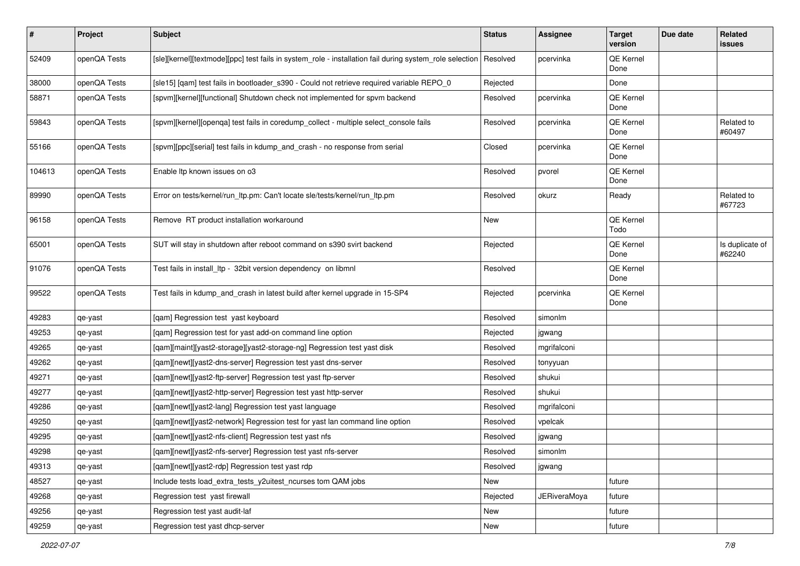| $\vert$ # | Project      | Subject                                                                                                 | <b>Status</b> | Assignee            | <b>Target</b><br>version | Due date | Related<br><b>issues</b>  |
|-----------|--------------|---------------------------------------------------------------------------------------------------------|---------------|---------------------|--------------------------|----------|---------------------------|
| 52409     | openQA Tests | [sle][kernel][textmode][ppc] test fails in system_role - installation fail during system_role selection | Resolved      | pcervinka           | QE Kernel<br>Done        |          |                           |
| 38000     | openQA Tests | [sle15] [qam] test fails in bootloader_s390 - Could not retrieve required variable REPO_0               | Rejected      |                     | Done                     |          |                           |
| 58871     | openQA Tests | [spvm][kernel][functional] Shutdown check not implemented for spvm backend                              | Resolved      | pcervinka           | <b>QE Kernel</b><br>Done |          |                           |
| 59843     | openQA Tests | [spvm][kernel][openqa] test fails in coredump_collect - multiple select_console fails                   | Resolved      | pcervinka           | QE Kernel<br>Done        |          | Related to<br>#60497      |
| 55166     | openQA Tests | [spvm][ppc][serial] test fails in kdump_and_crash - no response from serial                             | Closed        | pcervinka           | QE Kernel<br>Done        |          |                           |
| 104613    | openQA Tests | Enable Itp known issues on o3                                                                           | Resolved      | pvorel              | QE Kernel<br>Done        |          |                           |
| 89990     | openQA Tests | Error on tests/kernel/run_ltp.pm: Can't locate sle/tests/kernel/run_ltp.pm                              | Resolved      | okurz               | Ready                    |          | Related to<br>#67723      |
| 96158     | openQA Tests | Remove RT product installation workaround                                                               | New           |                     | QE Kernel<br>Todo        |          |                           |
| 65001     | openQA Tests | SUT will stay in shutdown after reboot command on s390 svirt backend                                    | Rejected      |                     | <b>QE Kernel</b><br>Done |          | Is duplicate of<br>#62240 |
| 91076     | openQA Tests | Test fails in install_ltp - 32bit version dependency on libmnl                                          | Resolved      |                     | <b>QE Kernel</b><br>Done |          |                           |
| 99522     | openQA Tests | Test fails in kdump_and_crash in latest build after kernel upgrade in 15-SP4                            | Rejected      | pcervinka           | QE Kernel<br>Done        |          |                           |
| 49283     | qe-yast      | [qam] Regression test yast keyboard                                                                     | Resolved      | simonlm             |                          |          |                           |
| 49253     | qe-yast      | [qam] Regression test for yast add-on command line option                                               | Rejected      | jgwang              |                          |          |                           |
| 49265     | qe-yast      | [qam][maint][yast2-storage][yast2-storage-ng] Regression test yast disk                                 | Resolved      | mgrifalconi         |                          |          |                           |
| 49262     | qe-yast      | [qam][newt][yast2-dns-server] Regression test yast dns-server                                           | Resolved      | tonyyuan            |                          |          |                           |
| 49271     | qe-yast      | [qam][newt][yast2-ftp-server] Regression test yast ftp-server                                           | Resolved      | shukui              |                          |          |                           |
| 49277     | qe-yast      | [qam][newt][yast2-http-server] Regression test yast http-server                                         | Resolved      | shukui              |                          |          |                           |
| 49286     | qe-yast      | [qam][newt][yast2-lang] Regression test yast language                                                   | Resolved      | mgrifalconi         |                          |          |                           |
| 49250     | qe-yast      | [qam][newt][yast2-network] Regression test for yast lan command line option                             | Resolved      | vpelcak             |                          |          |                           |
| 49295     | qe-yast      | [qam][newt][yast2-nfs-client] Regression test yast nfs                                                  | Resolved      | jgwang              |                          |          |                           |
| 49298     | qe-yast      | [qam][newt][yast2-nfs-server] Regression test yast nfs-server                                           | Resolved      | simonlm             |                          |          |                           |
| 49313     | qe-yast      | [qam][newt][yast2-rdp] Regression test yast rdp                                                         | Resolved      | jgwang              |                          |          |                           |
| 48527     | qe-yast      | Include tests load_extra_tests_y2uitest_ncurses tom QAM jobs                                            | New           |                     | future                   |          |                           |
| 49268     | qe-yast      | Regression test yast firewall                                                                           | Rejected      | <b>JERiveraMoya</b> | future                   |          |                           |
| 49256     | qe-yast      | Regression test yast audit-laf                                                                          | New           |                     | future                   |          |                           |
| 49259     | qe-yast      | Regression test yast dhcp-server                                                                        | New           |                     | future                   |          |                           |